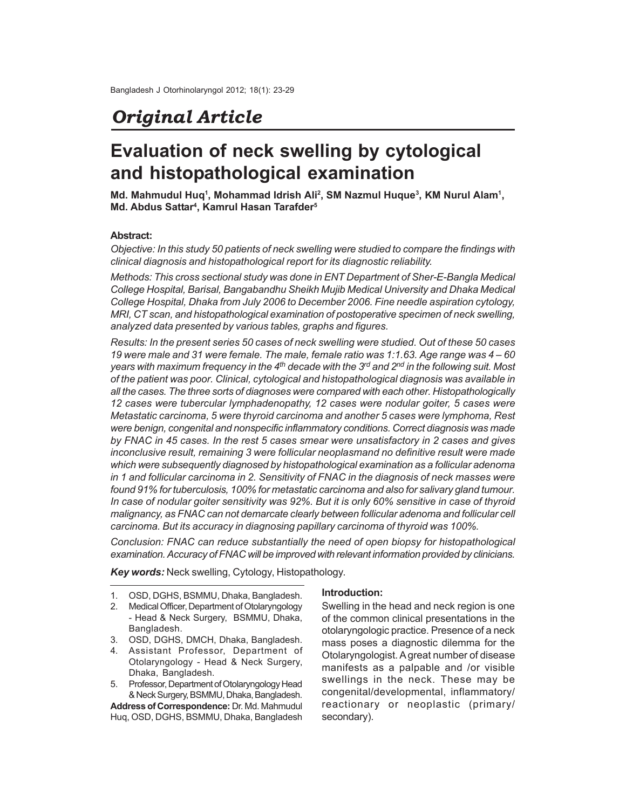# *Original Article*

# **Evaluation of neck swelling by cytological and histopathological examination**

**Md. Mahmudul Huq<sup>1</sup> , Mohammad Idrish Ali<sup>2</sup> , SM Nazmul Huque<sup>3</sup> , KM Nurul Alam<sup>1</sup> , Md. Abdus Sattar<sup>4</sup> , Kamrul Hasan Tarafder<sup>5</sup>**

### **Abstract:**

*Objective: In this study 50 patients of neck swelling were studied to compare the findings with clinical diagnosis and histopathological report for its diagnostic reliability.*

*Methods: This cross sectional study was done in ENT Department of Sher-E-Bangla Medical College Hospital, Barisal, Bangabandhu Sheikh Mujib Medical University and Dhaka Medical College Hospital, Dhaka from July 2006 to December 2006. Fine needle aspiration cytology, MRI, CT scan, and histopathological examination of postoperative specimen of neck swelling, analyzed data presented by various tables, graphs and figures.*

*Results: In the present series 50 cases of neck swelling were studied. Out of these 50 cases 19 were male and 31 were female. The male, female ratio was 1:1.63. Age range was 4 – 60 years with maximum frequency in the 4th decade with the 3rd and 2nd in the following suit. Most of the patient was poor. Clinical, cytological and histopathological diagnosis was available in all the cases. The three sorts of diagnoses were compared with each other. Histopathologically 12 cases were tubercular lymphadenopathy, 12 cases were nodular goiter, 5 cases were Metastatic carcinoma, 5 were thyroid carcinoma and another 5 cases were lymphoma, Rest were benign, congenital and nonspecific inflammatory conditions. Correct diagnosis was made by FNAC in 45 cases. In the rest 5 cases smear were unsatisfactory in 2 cases and gives inconclusive result, remaining 3 were follicular neoplasmand no definitive result were made which were subsequently diagnosed by histopathological examination as a follicular adenoma in 1 and follicular carcinoma in 2. Sensitivity of FNAC in the diagnosis of neck masses were found 91% for tuberculosis, 100% for metastatic carcinoma and also for salivary gland tumour. In case of nodular goiter sensitivity was 92%. But it is only 60% sensitive in case of thyroid malignancy, as FNAC can not demarcate clearly between follicular adenoma and follicular cell carcinoma. But its accuracy in diagnosing papillary carcinoma of thyroid was 100%.*

*Conclusion: FNAC can reduce substantially the need of open biopsy for histopathological examination. Accuracy of FNAC will be improved with relevant information provided by clinicians.*

*Key words:* Neck swelling, Cytology, Histopathology.

- 1. OSD, DGHS, BSMMU, Dhaka, Bangladesh.
- 2. Medical Officer, Department of Otolaryngology - Head & Neck Surgery, BSMMU, Dhaka, Bangladesh.
- 3. OSD, DGHS, DMCH, Dhaka, Bangladesh.
- 4. Assistant Professor, Department of Otolaryngology - Head & Neck Surgery, Dhaka, Bangladesh.
- 5. Professor, Department of Otolaryngology Head & Neck Surgery, BSMMU, Dhaka, Bangladesh.

**Address of Correspondence:** Dr. Md. Mahmudul Huq, OSD, DGHS, BSMMU, Dhaka, Bangladesh

#### **Introduction:**

Swelling in the head and neck region is one of the common clinical presentations in the otolaryngologic practice. Presence of a neck mass poses a diagnostic dilemma for the Otolaryngologist. A great number of disease manifests as a palpable and /or visible swellings in the neck. These may be congenital/developmental, inflammatory/ reactionary or neoplastic (primary/ secondary).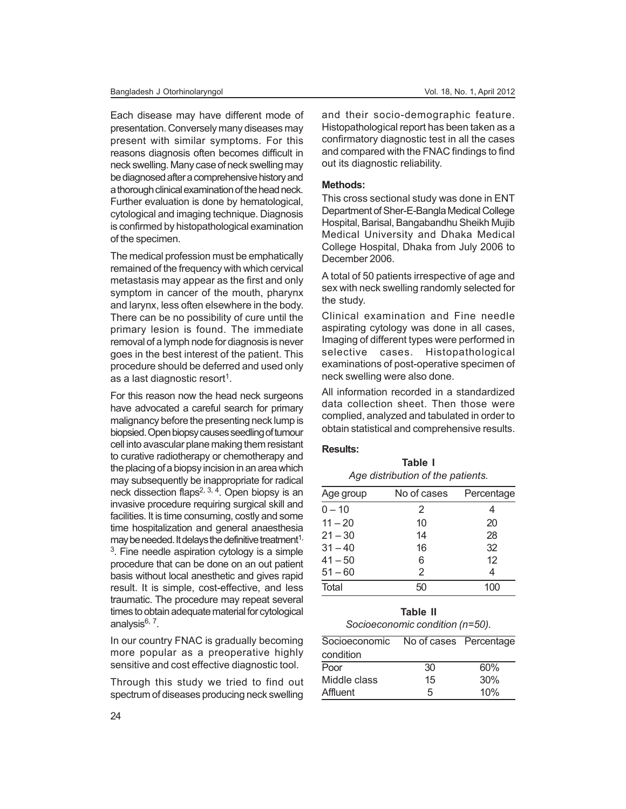Each disease may have different mode of presentation. Conversely many diseases may present with similar symptoms. For this reasons diagnosis often becomes difficult in neck swelling. Many case of neck swelling may be diagnosed after a comprehensive history and a thorough clinical examination of the head neck. Further evaluation is done by hematological, cytological and imaging technique. Diagnosis is confirmed by histopathological examination of the specimen.

The medical profession must be emphatically remained of the frequency with which cervical metastasis may appear as the first and only symptom in cancer of the mouth, pharynx and larynx, less often elsewhere in the body. There can be no possibility of cure until the primary lesion is found. The immediate removal of a lymph node for diagnosis is never goes in the best interest of the patient. This procedure should be deferred and used only as a last diagnostic resort<sup>1</sup>.

For this reason now the head neck surgeons have advocated a careful search for primary malignancy before the presenting neck lump is biopsied. Open biopsy causes seedling of tumour cell into avascular plane making them resistant to curative radiotherapy or chemotherapy and the placing of a biopsy incision in an area which may subsequently be inappropriate for radical neck dissection flaps2, 3, 4. Open biopsy is an invasive procedure requiring surgical skill and facilities. It is time consuming, costly and some time hospitalization and general anaesthesia may be needed. It delays the definitive treatment<sup>1,</sup>  $3$ . Fine needle aspiration cytology is a simple procedure that can be done on an out patient basis without local anesthetic and gives rapid result. It is simple, cost-effective, and less traumatic. The procedure may repeat several times to obtain adequate material for cytological analysis<sup>6, 7</sup>.

In our country FNAC is gradually becoming more popular as a preoperative highly sensitive and cost effective diagnostic tool.

Through this study we tried to find out spectrum of diseases producing neck swelling

and their socio-demographic feature. Histopathological report has been taken as a confirmatory diagnostic test in all the cases and compared with the FNAC findings to find out its diagnostic reliability.

### **Methods:**

This cross sectional study was done in ENT Department of Sher-E-Bangla Medical College Hospital, Barisal, Bangabandhu Sheikh Mujib Medical University and Dhaka Medical College Hospital, Dhaka from July 2006 to December 2006.

A total of 50 patients irrespective of age and sex with neck swelling randomly selected for the study.

Clinical examination and Fine needle aspirating cytology was done in all cases, Imaging of different types were performed in selective cases. Histopathological examinations of post-operative specimen of neck swelling were also done.

All information recorded in a standardized data collection sheet. Then those were complied, analyzed and tabulated in order to obtain statistical and comprehensive results.

**Table I**

#### **Results:**

| Age distribution of the patients. |             |            |  |  |
|-----------------------------------|-------------|------------|--|--|
| Age group                         | No of cases | Percentage |  |  |
| $0 - 10$                          | 2           | 4          |  |  |
| $11 - 20$                         | 10          | 20         |  |  |
| $21 - 30$                         | 14          | 28         |  |  |
| $31 - 40$                         | 16          | 32         |  |  |
| $41 - 50$                         | 6           | 12         |  |  |
| $51 - 60$                         | 2           | 4          |  |  |
| Total                             | 50          | 100        |  |  |

### **Table II** *Socioeconomic condition (n=50).*

| Socioeconomic | No of cases Percentage |     |
|---------------|------------------------|-----|
| condition     |                        |     |
| Poor          | 30                     | 60% |
| Middle class  | 15                     | 30% |
| Affluent      | 5                      | 10% |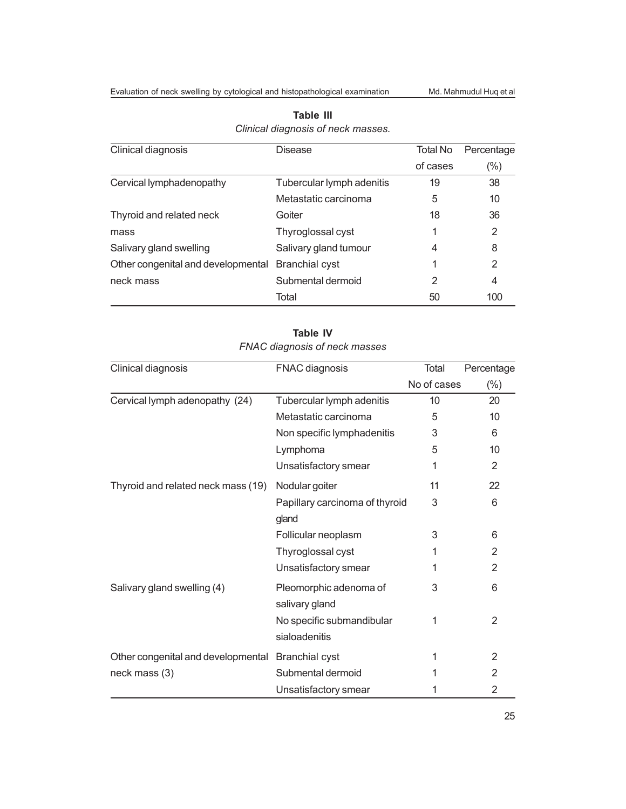| Clinical diagnosis                 | <b>Disease</b>            | Total No | Percentage |
|------------------------------------|---------------------------|----------|------------|
|                                    |                           | of cases | (%)        |
| Cervical lymphadenopathy           | Tubercular lymph adenitis | 19       | 38         |
|                                    | Metastatic carcinoma      | 5        | 10         |
| Thyroid and related neck           | Goiter                    | 18       | 36         |
| mass                               | Thyroglossal cyst         | 1        | 2          |
| Salivary gland swelling            | Salivary gland tumour     | 4        | 8          |
| Other congenital and developmental | <b>Branchial cyst</b>     |          | 2          |
| neck mass                          | Submental dermoid         | 2        | 4          |
|                                    | Total                     | 50       | 100        |

## **Table III** *Clinical diagnosis of neck masses.*

| <b>FIVAC diagnosis of neck masses</b> |                                            |             |            |  |  |
|---------------------------------------|--------------------------------------------|-------------|------------|--|--|
| Clinical diagnosis                    | FNAC diagnosis                             | Total       | Percentage |  |  |
|                                       |                                            | No of cases | $(\% )$    |  |  |
| Cervical lymph adenopathy (24)        | Tubercular lymph adenitis                  | 10          | 20         |  |  |
|                                       | Metastatic carcinoma                       | 5           | 10         |  |  |
|                                       | Non specific lymphadenitis                 | 3           | 6          |  |  |
|                                       | Lymphoma                                   | 5           | 10         |  |  |
|                                       | Unsatisfactory smear                       | 1           | 2          |  |  |
| Thyroid and related neck mass (19)    | Nodular goiter                             | 11          | 22         |  |  |
|                                       | Papillary carcinoma of thyroid<br>gland    | 3           | 6          |  |  |
|                                       | Follicular neoplasm                        | 3           | 6          |  |  |
|                                       | Thyroglossal cyst                          | 1           | 2          |  |  |
|                                       | Unsatisfactory smear                       | 1           | 2          |  |  |
| Salivary gland swelling (4)           | Pleomorphic adenoma of<br>salivary gland   | 3           | 6          |  |  |
|                                       | No specific submandibular<br>sialoadenitis | 1           | 2          |  |  |
| Other congenital and developmental    | <b>Branchial cyst</b>                      | 1           | 2          |  |  |
| neck mass (3)                         | Submental dermoid                          |             | 2          |  |  |
|                                       | Unsatisfactory smear                       | 1           | 2          |  |  |

## **Table IV** *FNAC diagnosis of neck masses*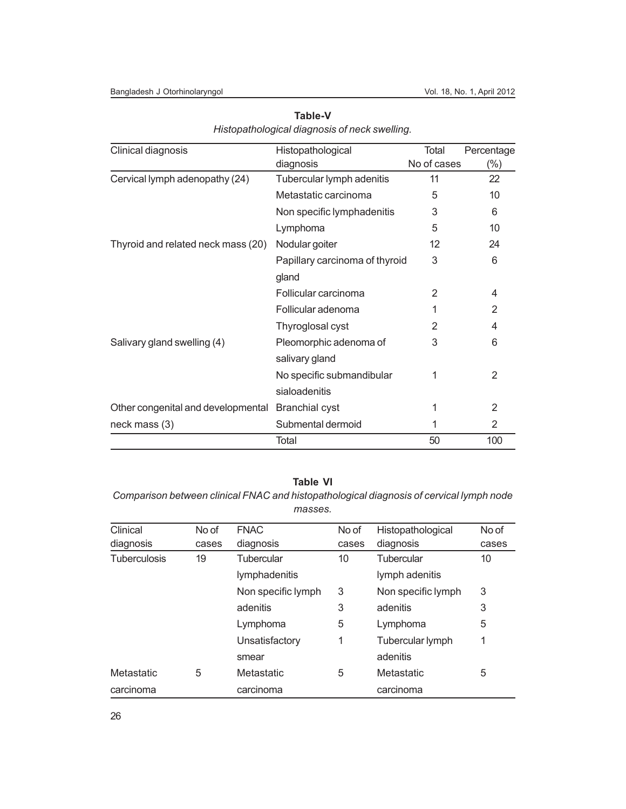#### Bangladesh J Otorhinolaryngol vol. 18, No. 1, April 2012

| Clinical diagnosis                 | Histopathological              | Total       | Percentage |
|------------------------------------|--------------------------------|-------------|------------|
|                                    | diagnosis                      | No of cases | (%)        |
| Cervical lymph adenopathy (24)     | Tubercular lymph adenitis      | 11          | 22         |
|                                    | Metastatic carcinoma           | 5           | 10         |
|                                    | Non specific lymphadenitis     | 3           | 6          |
|                                    | Lymphoma                       | 5           | 10         |
| Thyroid and related neck mass (20) | Nodular goiter                 | 12          | 24         |
|                                    | Papillary carcinoma of thyroid | 3           | 6          |
|                                    | gland                          |             |            |
|                                    | Follicular carcinoma           | 2           | 4          |
|                                    | Follicular adenoma             |             | 2          |
|                                    | Thyroglosal cyst               | 2           | 4          |
| Salivary gland swelling (4)        | Pleomorphic adenoma of         | 3           | 6          |
|                                    | salivary gland                 |             |            |
|                                    | No specific submandibular      | 1           | 2          |
|                                    | sialoadenitis                  |             |            |
| Other congenital and developmental | <b>Branchial cyst</b>          | 1           | 2          |
| neck mass (3)                      | Submental dermoid              | 1           | 2          |
|                                    | Total                          | 50          | 100        |

## **Table-V** *Histopathological diagnosis of neck swelling.*

## **Table VI**

*Comparison between clinical FNAC and histopathological diagnosis of cervical lymph node masses.*

| Clinical          | No of | <b>FNAC</b>        | No of | Histopathological  | No of |
|-------------------|-------|--------------------|-------|--------------------|-------|
| diagnosis         | cases | diagnosis          | cases | diagnosis          | cases |
| Tuberculosis      | 19    | Tubercular         | 10    | Tubercular         | 10    |
|                   |       | lymphadenitis      |       | lymph adenitis     |       |
|                   |       | Non specific lymph | 3     | Non specific lymph | 3     |
|                   |       | adenitis           | 3     | adenitis           | 3     |
|                   |       | Lymphoma           | 5     | Lymphoma           | 5     |
|                   |       | Unsatisfactory     | 1     | Tubercular lymph   | 1     |
|                   |       | smear              |       | adenitis           |       |
| <b>Metastatic</b> | 5     | Metastatic         | 5     | Metastatic         | 5     |
| carcinoma         |       | carcinoma          |       | carcinoma          |       |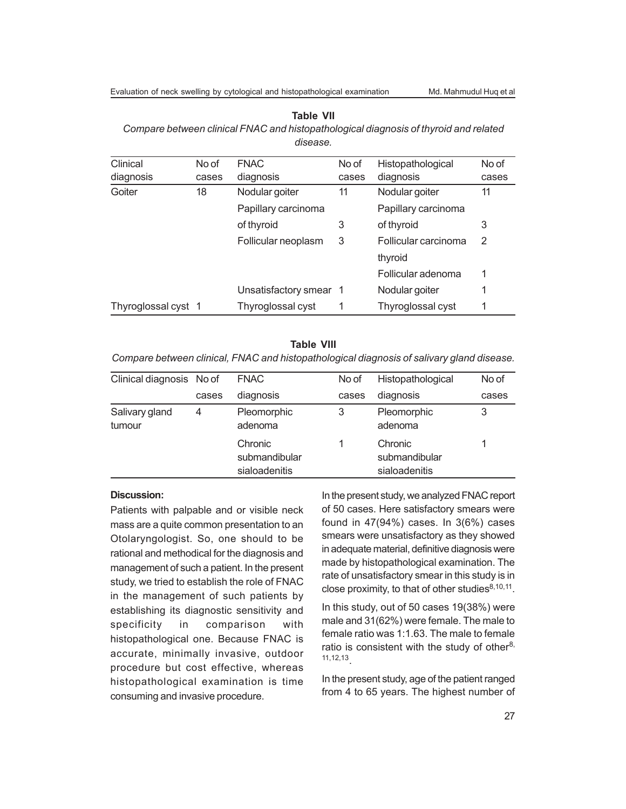| Clinical            | No of | <b>FNAC</b>            | No of | Histopathological    | No of |
|---------------------|-------|------------------------|-------|----------------------|-------|
| diagnosis           | cases | diagnosis              | cases | diagnosis            | cases |
| Goiter              | 18    | Nodular goiter         | 11    | Nodular goiter       | 11    |
|                     |       | Papillary carcinoma    |       | Papillary carcinoma  |       |
|                     |       | of thyroid             | 3     | of thyroid           | 3     |
|                     |       | Follicular neoplasm    | 3     | Follicular carcinoma | 2     |
|                     |       |                        |       | thyroid              |       |
|                     |       |                        |       | Follicular adenoma   | 1     |
|                     |       | Unsatisfactory smear 1 |       | Nodular goiter       | 1     |
| Thyroglossal cyst 1 |       | Thyroglossal cyst      |       | Thyroglossal cyst    |       |

#### **Table VII**

*Compare between clinical FNAC and histopathological diagnosis of thyroid and related disease.*

#### **Table VIII**

*Compare between clinical, FNAC and histopathological diagnosis of salivary gland disease.*

| Clinical diagnosis No of |       | <b>FNAC</b>                               | No of | Histopathological                         | No of |
|--------------------------|-------|-------------------------------------------|-------|-------------------------------------------|-------|
|                          | cases | diagnosis                                 | cases | diagnosis                                 | cases |
| Salivary gland<br>tumour | 4     | Pleomorphic<br>adenoma                    | 3     | Pleomorphic<br>adenoma                    | 3     |
|                          |       | Chronic<br>submandibular<br>sialoadenitis |       | Chronic<br>submandibular<br>sialoadenitis |       |

#### **Discussion:**

Patients with palpable and or visible neck mass are a quite common presentation to an Otolaryngologist. So, one should to be rational and methodical for the diagnosis and management of such a patient. In the present study, we tried to establish the role of FNAC in the management of such patients by establishing its diagnostic sensitivity and specificity in comparison with histopathological one. Because FNAC is accurate, minimally invasive, outdoor procedure but cost effective, whereas histopathological examination is time consuming and invasive procedure.

In the present study, we analyzed FNAC report of 50 cases. Here satisfactory smears were found in 47(94%) cases. In 3(6%) cases smears were unsatisfactory as they showed in adequate material, definitive diagnosis were made by histopathological examination. The rate of unsatisfactory smear in this study is in close proximity, to that of other studies $8,10,11$ .

In this study, out of 50 cases 19(38%) were male and 31(62%) were female. The male to female ratio was 1:1.63. The male to female ratio is consistent with the study of other $8$ , 11,12,13 .

In the present study, age of the patient ranged from 4 to 65 years. The highest number of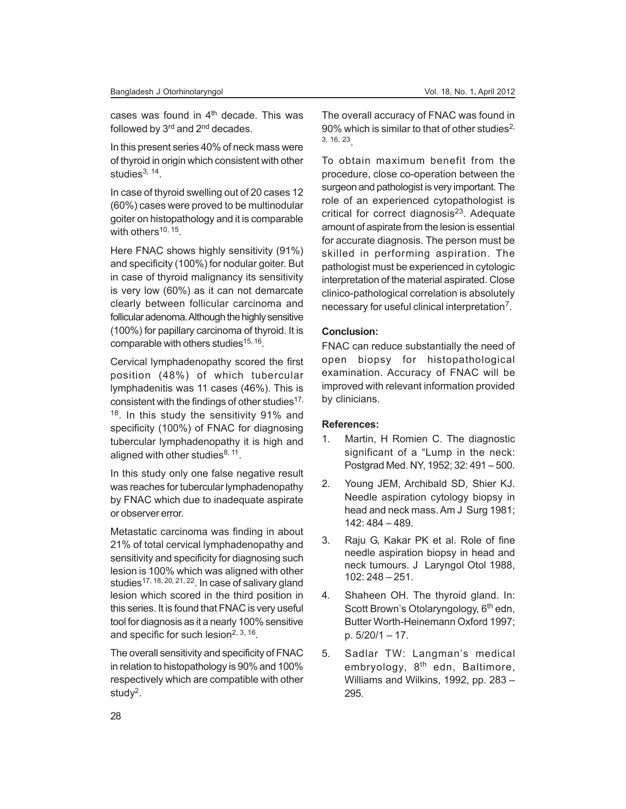cases was found in  $4<sup>th</sup>$  decade. This was followed by  $3<sup>rd</sup>$  and  $2<sup>nd</sup>$  decades.

In this present series 40% of neck mass were of thyroid in origin which consistent with other studies<sup>3, 14</sup>.

In case of thyroid swelling out of 20 cases 12 (60%) cases were proved to be multinodular goiter on histopathology and it is comparable with others<sup>10, 15</sup>.

Here FNAC shows highly sensitivity (91%) and specificity (100%) for nodular goiter. But in case of thyroid malignancy its sensitivity is very low (60%) as it can not demarcate clearly between follicular carcinoma and follicular adenoma. Although the highly sensitive (100%) for papillary carcinoma of thyroid. It is comparable with others studies<sup>15, 16</sup>.

Cervical lymphadenopathy scored the first position (48%) of which tubercular lymphadenitis was 11 cases (46%). This is consistent with the findings of other studies $17$ , <sup>18</sup>. In this study the sensitivity 91% and specificity (100%) of FNAC for diagnosing tubercular lymphadenopathy it is high and aligned with other studies $8, 11$ .

In this study only one false negative result was reaches for tubercular lymphadenopathy by FNAC which due to inadequate aspirate or observer error.

Metastatic carcinoma was finding in about 21% of total cervical lymphadenopathy and sensitivity and specificity for diagnosing such lesion is 100% which was aligned with other studies<sup>17, 18, 20, 21, 22</sup>. In case of salivary gland lesion which scored in the third position in this series. It is found that FNAC is very useful tool for diagnosis as it a nearly 100% sensitive and specific for such lesion<sup>2, 3, 16</sup>.

The overall sensitivity and specificity of FNAC in relation to histopathology is 90% and 100% respectively which are compatible with other study<sup>2</sup>.

The overall accuracy of FNAC was found in 90% which is similar to that of other studies<sup>2,</sup> 3, 16, 23 .

To obtain maximum benefit from the procedure, close co-operation between the surgeon and pathologist is very important. The role of an experienced cytopathologist is critical for correct diagnosis<sup>23</sup>. Adequate amount of aspirate from the lesion is essential for accurate diagnosis. The person must be skilled in performing aspiration. The pathologist must be experienced in cytologic interpretation of the material aspirated. Close clinico-pathological correlation is absolutely necessary for useful clinical interpretation<sup>7</sup>.

### **Conclusion:**

FNAC can reduce substantially the need of open biopsy for histopathological examination. Accuracy of FNAC will be improved with relevant information provided by clinicians.

#### **References:**

- 1. Martin, H Romien C. The diagnostic significant of a "Lump in the neck: Postgrad Med. NY, 1952; 32: 491 – 500.
- 2. Young JEM, Archibald SD, Shier KJ. Needle aspiration cytology biopsy in head and neck mass. Am J Surg 1981; 142: 484 – 489.
- 3. Raju G, Kakar PK et al. Role of fine needle aspiration biopsy in head and neck tumours. J Laryngol Otol 1988, 102: 248 – 251.
- 4. Shaheen OH. The thyroid gland. In: Scott Brown's Otolaryngology, 6<sup>th</sup> edn, Butter Worth-Heinemann Oxford 1997; p. 5/20/1 – 17.
- 5. Sadlar TW: Langman's medical embryology, 8<sup>th</sup> edn, Baltimore, Williams and Wilkins, 1992, pp. 283 – 295.